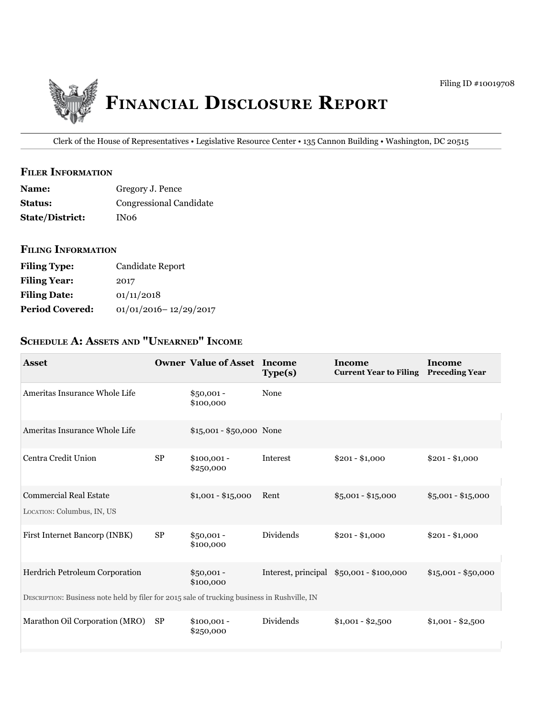

Clerk of the House of Representatives • Legislative Resource Center • 135 Cannon Building • Washington, DC 20515

### **filer iNfOrmatiON**

| <b>Name:</b>           | Gregory J. Pence        |
|------------------------|-------------------------|
| <b>Status:</b>         | Congressional Candidate |
| <b>State/District:</b> | IN06                    |

### **filiNg iNfOrmatiON**

| <b>Filing Type:</b>    | Candidate Report          |
|------------------------|---------------------------|
| <b>Filing Year:</b>    | 2017                      |
| <b>Filing Date:</b>    | 01/11/2018                |
| <b>Period Covered:</b> | $01/01/2016 - 12/29/2017$ |

# **ScheDule a: aSSetS aND "uNearNeD" iNcOme**

| <b>Asset</b>                                                                                 |           | <b>Owner Value of Asset Income</b> | Type(s)             | Income<br><b>Current Year to Filing</b> | Income<br><b>Preceding Year</b> |
|----------------------------------------------------------------------------------------------|-----------|------------------------------------|---------------------|-----------------------------------------|---------------------------------|
| Ameritas Insurance Whole Life                                                                |           | $$50,001 -$<br>\$100,000           | None                |                                         |                                 |
| Ameritas Insurance Whole Life                                                                |           | \$15,001 - \$50,000 None           |                     |                                         |                                 |
| Centra Credit Union                                                                          | <b>SP</b> | $$100,001 -$<br>\$250,000          | Interest            | $$201 - $1,000$                         | $$201 - $1,000$                 |
| <b>Commercial Real Estate</b><br>LOCATION: Columbus, IN, US                                  |           | $$1,001 - $15,000$                 | Rent                | $$5,001 - $15,000$                      | $$5,001 - $15,000$              |
| First Internet Bancorp (INBK)                                                                | <b>SP</b> | $$50,001 -$<br>\$100,000           | Dividends           | $$201 - $1,000$                         | $$201 - $1,000$                 |
| Herdrich Petroleum Corporation                                                               |           | $$50,001 -$<br>\$100,000           | Interest, principal | \$50,001 - \$100,000                    | $$15,001 - $50,000$             |
| DESCRIPTION: Business note held by filer for 2015 sale of trucking business in Rushville, IN |           |                                    |                     |                                         |                                 |
| Marathon Oil Corporation (MRO)                                                               | <b>SP</b> | $$100,001 -$<br>\$250,000          | Dividends           | $$1,001 - $2,500$                       | $$1,001 - $2,500$               |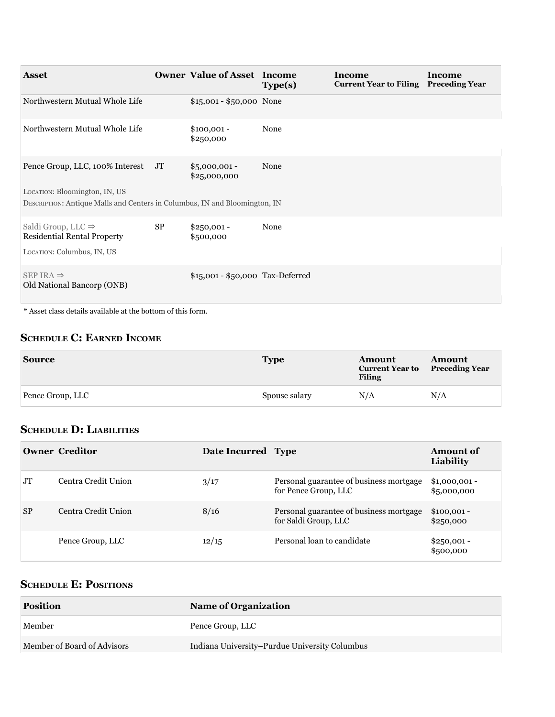| <b>Asset</b>                                                                                                                                      |           | <b>Owner Value of Asset Income</b> | Type(s) | <b>Income</b><br><b>Current Year to Filing</b> | <b>Income</b><br><b>Preceding Year</b> |
|---------------------------------------------------------------------------------------------------------------------------------------------------|-----------|------------------------------------|---------|------------------------------------------------|----------------------------------------|
| Northwestern Mutual Whole Life                                                                                                                    |           | \$15,001 - \$50,000 None           |         |                                                |                                        |
| Northwestern Mutual Whole Life                                                                                                                    |           | $$100,001 -$<br>\$250,000          | None    |                                                |                                        |
| Pence Group, LLC, 100% Interest JT<br>LOCATION: Bloomington, IN, US<br>DESCRIPTION: Antique Malls and Centers in Columbus, IN and Bloomington, IN |           | $$5,000,001$ -<br>\$25,000,000     | None    |                                                |                                        |
| Saldi Group, LLC $\Rightarrow$<br><b>Residential Rental Property</b><br>LOCATION: Columbus, IN, US                                                | <b>SP</b> | $$250,001 -$<br>\$500,000          | None    |                                                |                                        |
| $SEP$ IRA $\Rightarrow$<br>Old National Bancorp (ONB)                                                                                             |           | \$15,001 - \$50,000 Tax-Deferred   |         |                                                |                                        |

\* Asset class details available at the bottom of this form.

# **ScheDule c: earNeD iNcOme**

| <b>Source</b>    | <b>Type</b>   | Amount<br><b>Current Year to</b><br><b>Filing</b> | Amount<br><b>Preceding Year</b> |
|------------------|---------------|---------------------------------------------------|---------------------------------|
| Pence Group, LLC | Spouse salary | N/A                                               | N/A                             |

# **ScheDule D: liabilitieS**

|           | <b>Owner Creditor</b> | Date Incurred Type |                                                                 | Amount of<br>Liability        |
|-----------|-----------------------|--------------------|-----------------------------------------------------------------|-------------------------------|
| <b>JT</b> | Centra Credit Union   | 3/17               | Personal guarantee of business mortgage<br>for Pence Group, LLC | $$1,000,001 -$<br>\$5,000,000 |
| <b>SP</b> | Centra Credit Union   | 8/16               | Personal guarantee of business mortgage<br>for Saldi Group, LLC | $$100,001 -$<br>\$250,000     |
|           | Pence Group, LLC      | 12/15              | Personal loan to candidate                                      | $$250,001 -$<br>\$500,000     |

# **ScheDule e: POSitiONS**

| <b>Position</b>             | <b>Name of Organization</b>                   |
|-----------------------------|-----------------------------------------------|
| Member                      | Pence Group, LLC                              |
| Member of Board of Advisors | Indiana University–Purdue University Columbus |